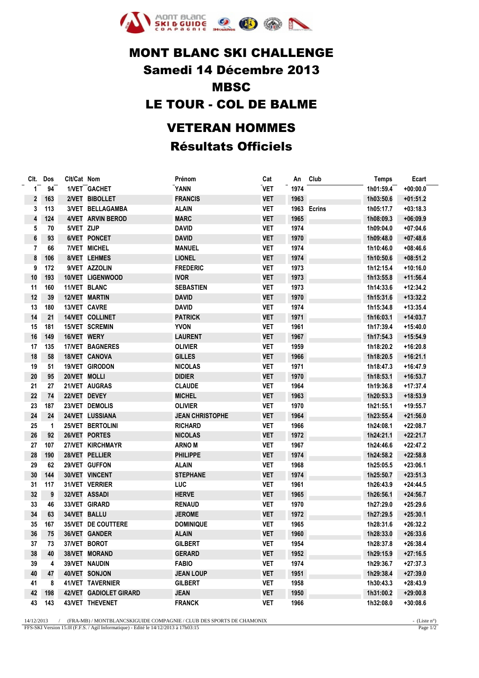

## **MONT BLANC SKI CHALLENGE** Samedi 14 Décembre 2013 **MBSC** LE TOUR - COL DE BALME **VETERAN HOMMES Résultats Officiels**

|              | Clt. Dos     | Clt/Cat Nom  |                        | Prénom                 | Cat        | An   | Club        | <b>Temps</b> | Ecart      |
|--------------|--------------|--------------|------------------------|------------------------|------------|------|-------------|--------------|------------|
| $\mathbf{1}$ | 94           |              | 1/VET GACHET           | <b>YANN</b>            | <b>VET</b> | 1974 |             | 1h01:59.4    | $+00:00.0$ |
| 2            | 163          |              | 2/VET BIBOLLET         | <b>FRANCIS</b>         | <b>VET</b> | 1963 |             | 1h03:50.6    | $+01:51.2$ |
| 3            | 113          |              | 3/VET BELLAGAMBA       | <b>ALAIN</b>           | <b>VET</b> |      | 1963 Ecrins | 1h05:17.7    | $+03:18.3$ |
| $\pmb{4}$    | 124          |              | 4/VET ARVIN BEROD      | <b>MARC</b>            | <b>VET</b> | 1965 |             | 1h08:09.3    | $+06:09.9$ |
| 5            | 70           | 5/VET ZIJP   |                        | <b>DAVID</b>           | <b>VET</b> | 1974 |             | 1h09:04.0    | $+07:04.6$ |
| 6            | 93           |              | 6/VET PONCET           | <b>DAVID</b>           | <b>VET</b> | 1970 |             | 1h09:48.0    | $+07:48.6$ |
| 7            | 66           |              | <b>7/VET MICHEL</b>    | <b>MANUEL</b>          | <b>VET</b> | 1974 |             | 1h10:46.0    | $+08:46.6$ |
| 8            | 106          |              | 8/VET LEHMES           | <b>LIONEL</b>          | <b>VET</b> | 1974 |             | 1h10:50.6    | $+08:51.2$ |
| 9            | 172          |              | 9/VET AZZOLIN          | <b>FREDERIC</b>        | <b>VET</b> | 1973 |             | 1h12:15.4    | $+10:16.0$ |
| 10           | 193          |              | 10/VET LIGENWOOD       | <b>IVOR</b>            | <b>VET</b> | 1973 |             | 1h13:55.8    | $+11:56.4$ |
| 11           | 160          |              | 11/VET BLANC           | <b>SEBASTIEN</b>       | <b>VET</b> | 1973 |             | 1h14:33.6    | $+12:34.2$ |
| 12           | 39           |              | 12/VET MARTIN          | DAVID                  | <b>VET</b> | 1970 |             | 1h15:31.6    | $+13:32.2$ |
| 13           | 180          |              | 13/VET CAVRE           | <b>DAVID</b>           | <b>VET</b> | 1974 |             | 1h15:34.8    | $+13:35.4$ |
| 14           | 21           |              | 14/VET COLLINET        | <b>PATRICK</b>         | <b>VET</b> | 1971 |             | 1h16:03.1    | $+14:03.7$ |
| 15           | 181          |              | 15/VET SCREMIN         | <b>YVON</b>            | <b>VET</b> | 1961 |             | 1h17:39.4    | +15:40.0   |
| 16           | 149          | 16/VET WERY  |                        | <b>LAURENT</b>         | <b>VET</b> | 1967 |             | 1h17:54.3    | +15:54.9   |
| 17           | 135          |              | 17/VET BAGNERES        | <b>OLIVIER</b>         | <b>VET</b> | 1959 |             | 1h18:20.2    | +16:20.8   |
| 18           | 58           |              | 18/VET CANOVA          | <b>GILLES</b>          | <b>VET</b> | 1966 |             | 1h18:20.5    | $+16:21.1$ |
| 19           | 51           |              | 19/VET GIRODON         | <b>NICOLAS</b>         | <b>VET</b> | 1971 |             | 1h18:47.3    | $+16:47.9$ |
| 20           | 95           | 20/VET MOLLI |                        | <b>DIDIER</b>          | <b>VET</b> | 1970 |             | 1h18:53.1    | $+16:53.7$ |
| 21           | 27           |              | 21/VET AUGRAS          | <b>CLAUDE</b>          | <b>VET</b> | 1964 |             | 1h19:36.8    | $+17:37.4$ |
| 22           | 74           |              | 22/VET DEVEY           | <b>MICHEL</b>          | <b>VET</b> | 1963 |             | 1h20:53.3    | +18:53.9   |
| 23           | 187          |              | 23/VET DEMOLIS         | <b>OLIVIER</b>         | <b>VET</b> | 1970 |             | 1h21:55.1    | +19:55.7   |
| 24           | 24           |              | 24/VET LUSSIANA        | <b>JEAN CHRISTOPHE</b> | <b>VET</b> | 1964 |             | 1h23:55.4    | $+21:56.0$ |
| 25           | $\mathbf{1}$ |              | 25/VET BERTOLINI       | <b>RICHARD</b>         | <b>VET</b> | 1966 |             | 1h24:08.1    | $+22:08.7$ |
| 26           | 92           |              | 26/VET PORTES          | <b>NICOLAS</b>         | <b>VET</b> | 1972 |             | 1h24:21.1    | $+22:21.7$ |
| 27           | 107          |              | 27/VET KIRCHMAYR       | <b>ARNO M</b>          | <b>VET</b> | 1967 |             | 1h24:46.6    | $+22:47.2$ |
| 28           | 190          |              | 28/VET PELLIER         | <b>PHILIPPE</b>        | <b>VET</b> | 1974 |             | 1h24:58.2    | $+22:58.8$ |
| 29           | 62           |              | 29/VET GUFFON          | <b>ALAIN</b>           | <b>VET</b> | 1968 |             | 1h25:05.5    | $+23:06.1$ |
| 30           | 144          |              | 30/VET VINCENT         | <b>STEPHANE</b>        | <b>VET</b> | 1974 |             | 1h25:50.7    | $+23:51.3$ |
| 31           | 117          |              | 31/VET VERRIER         | LUC                    | <b>VET</b> | 1961 |             | 1h26:43.9    | $+24:44.5$ |
| 32           | 9            |              | 32/VET ASSADI          | <b>HERVE</b>           | <b>VET</b> | 1965 |             | 1h26:56.1    | $+24:56.7$ |
| 33           | 46           |              | 33/VET GIRARD          | <b>RENAUD</b>          | <b>VET</b> | 1970 |             | 1h27:29.0    | $+25:29.6$ |
| 34           | 63           |              | 34/VET BALLU           | <b>JEROME</b>          | <b>VET</b> | 1972 |             | 1h27:29.5    | $+25:30.1$ |
| 35           | 167          |              | 35/VET DE COUTTERE     | <b>DOMINIQUE</b>       | <b>VET</b> | 1965 |             | 1h28:31.6    | $+26:32.2$ |
| 36           | ${\bf 75}$   |              | 36/VET GANDER          | ALAIN                  | <b>VET</b> | 1960 |             | 1h28:33.0    | $+26:33.6$ |
| 37           | 73           |              | 37/VET BOROT           | <b>GILBERT</b>         | <b>VET</b> | 1954 |             | 1h28:37.8    | +26:38.4   |
| 38           | 40           |              | 38/VET MORAND          | <b>GERARD</b>          | VET        | 1952 |             | 1h29:15.9    | $+27:16.5$ |
| 39           | 4            |              | 39/VET NAUDIN          | <b>FABIO</b>           | <b>VET</b> | 1974 |             | 1h29:36.7    | +27:37.3   |
| 40           | 47           |              | 40/VET SONJON          | <b>JEAN LOUP</b>       | <b>VET</b> | 1951 |             | 1h29:38.4    | $+27:39.0$ |
| 41           | 8            |              | 41/VET TAVERNIER       | <b>GILBERT</b>         | VET        | 1958 |             | 1h30:43.3    | $+28:43.9$ |
| 42           | 198          |              | 42/VET GADIOLET GIRARD | <b>JEAN</b>            | VET        | 1950 |             | 1h31:00.2    | $+29:00.8$ |
| 43           | 143          |              | 43/VET THEVENET        | <b>FRANCK</b>          | <b>VET</b> | 1966 |             | 1h32:08.0    | $+30:08.6$ |

Page  $1/2$